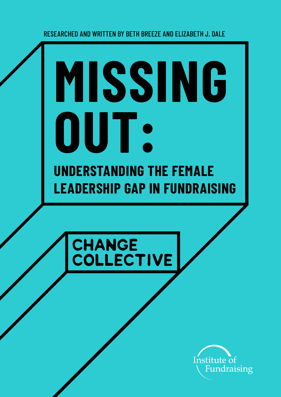RESEARCHED AND WRITTEN BY BETH BREEZE AND ELIZABETH J. DALE

# **UNDERSTANDING THE FEMALE LEADERSHIP GAP IN FUNDRAISING MISSING OUT:**



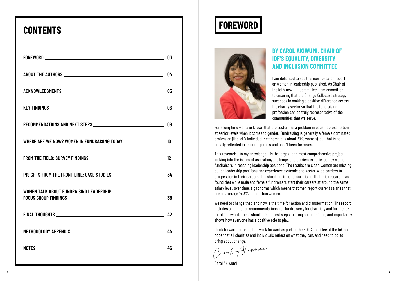## **CONTENTS**

|                                                                                                                                                                                                                               | 03 |
|-------------------------------------------------------------------------------------------------------------------------------------------------------------------------------------------------------------------------------|----|
|                                                                                                                                                                                                                               | 04 |
|                                                                                                                                                                                                                               | 05 |
|                                                                                                                                                                                                                               | 06 |
|                                                                                                                                                                                                                               | 08 |
| WHERE ARE WE NOW? WOMEN IN FUNDRAISING TODAY ____________________                                                                                                                                                             | 10 |
|                                                                                                                                                                                                                               | 12 |
| INSIGHTS FROM THE FRONT LINE: CASE STUDIES _________________________                                                                                                                                                          | 34 |
| <b>WOMEN TALK ABOUT FUNDRAISING LEADERSHIP:</b>                                                                                                                                                                               | 38 |
|                                                                                                                                                                                                                               | 42 |
|                                                                                                                                                                                                                               | 44 |
| NOTES And the contract of the contract of the contract of the contract of the contract of the contract of the contract of the contract of the contract of the contract of the contract of the contract of the contract of the | 46 |

## **FOREWORD**



#### **BY CAROL AKIWUMI, CHAIR OF IOF'S EQUALITY, DIVERSITY AND INCLUSION COMMITTEE**

I am delighted to see this new research report on women in leadership published. As Chair of the IoF's new EDI Committee, I am committed to ensuring that the Change Collective strategy succeeds in making a positive difference across the charity sector so that the fundraising profession can be truly representative of the communities that we serve.

For a long time we have known that the sector has a problem in equal representation at senior levels when it comes to gender. Fundraising is generally a female dominated profession (the IoF's Individual Membership is about 70% women), but that is not equally reflected in leadership roles and hasn't been for years.

This research – to my knowledge – is the largest and most comprehensive project looking into the issues of aspiration, challenge, and barriers experienced by women fundraisers in reaching leadership positions. The results are clear: women are missing out on leadership positions and experience systemic and sector-wide barriers to progression in their careers. It is shocking, if not unsurprising, that this research has found that while male and female fundraisers start their careers at around the same salary level, over time, a gap forms which means that men report current salaries that are on average 14.3% higher than women.

We need to change that, and now is the time for action and transformation. The report includes a number of recommendations, for fundraisers, for charities, and for the IoF to take forward. These should be the first steps to bring about change, and importantly shows how everyone has a positive role to play.

I look forward to taking this work forward as part of the EDI Committee at the IoF and hope that all charities and individuals reflect on what they can, and need to do, to bring about change.

Carol Akiwumi,

Carol Akiwumi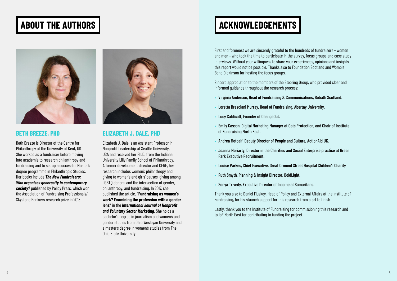First and foremost we are sincerely grateful to the hundreds of fundraisers – women and men – who took the time to participate in the survey, focus groups and case study interviews. Without your willingness to share your experiences, opinions and insights, this report would not be possible. Thanks also to Foundation Scotland and Womble Bond Dickinson for hosting the focus groups.

Sincere appreciation to the members of the Steering Group, who provided clear and informed guidance throughout the research process:

- **•** Virginia Anderson, Head of Fundraising & Communications, Bobath Scotland.
- **•** Loretta Bresciani Murray, Head of Fundraising, Abertay University.
- **•** Lucy Caldicott, Founder of ChangeOut.
- **•** Emily Casson, Digital Marketing Manager at Cats Protection, and Chair of Institute of Fundraising North East.
- **•** Andrea Metcalf, Deputy Director of People and Culture, ActionAid UK.
- **•** Joanna Moriarty, Director in the Charities and Social Enterprise practice at Green Park Executive Recruitment.
- **•** Louise Parkes, Chief Executive, Great Ormond Street Hospital Children's Charity
- **•** Ruth Smyth, Planning & Insight Director, BoldLight.
- **•** Sonya Trivedy, Executive Director of Income at Samaritans.

Thank you also to Daniel Fluskey, Head of Policy and External Affairs at the Institute of Fundraising, for his staunch support for this research from start to finish.

Lastly, thank you to the Institute of Fundraising for commissioning this research and to IoF North East for contributing to funding the project.





Beth Breeze is Director of the Centre for Philanthropy at the University of Kent, UK. She worked as a fundraiser before moving into academia to research philanthropy and fundraising and to set up a successful Master's degree programme in Philanthropic Studies. Her books include *The New Fundraisers: Who organises generosity in contemporary society?* published by Policy Press, which won the Association of Fundraising Professionals/ Skystone Partners research prize in 2018.



#### **BETH BREEZE, PHD ELIZABETH J. DALE, PHD**

Elizabeth J. Dale is an Assistant Professor in Nonprofit Leadership at Seattle University, USA and received her Ph.D. from the Indiana University Lilly Family School of Philanthropy. A former development director and CFRE, her research includes women's philanthropy and giving to women's and girls' causes, giving among LGBTQ donors, and the intersection of gender, philanthropy, and fundraising. In 2017, she published the article, **"Fundraising as women's work? Examining the profession with a gender lens"** in the *International Journal of Nonprofit and Voluntary Sector Marketing*. She holds a bachelor's degree in journalism and women's and gender studies from Ohio Wesleyan University and a master's degree in women's studies from The Ohio State University.

## <span id="page-2-0"></span>ABOUT THE AUTHORS **ALCOHOLY SERVICE SERVICES ACKNOWLEDGEMENTS**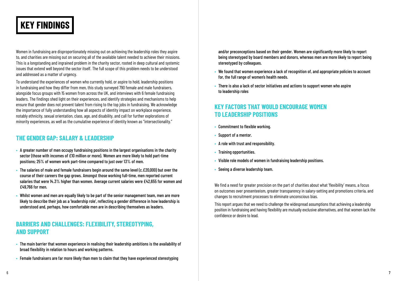To understand the experiences of women who currently hold, or aspire to hold, leadership positions in fundraising and how they differ from men, this study surveyed 790 female and male fundraisers, alongside focus groups with 15 women from across the UK, and interviews with 6 female fundraising leaders. The findings shed light on their experiences, and identify strategies and mechanisms to help ensure that gender does not prevent talent from rising to the top jobs in fundraising. We acknowledge the importance of fully understanding how all aspects of identity impact on workplace experience, notably ethnicity, sexual orientation, class, age, and disability, and call for further explorations of minority experiences, as well as the cumulative experience of identity known as "intersectionality."

Women in fundraising are disproportionately missing out on achieving the leadership roles they aspire to, and charities are missing out on securing all of the available talent needed to achieve their missions. This is a longstanding and ingrained problem in the charity sector, rooted in deep cultural and systemic issues that extend well beyond the sector itself. The full scope of this problem needs to be understood and addressed as a matter of urgency.

#### **THE GENDER GAP: SALARY & LEADERSHIP**

- **•** A greater number of men occupy fundraising positions in the largest organisations in the charity sector (those with incomes of £10 million or more). Women are more likely to hold part-time positions; 25% of women work part-time compared to just over 13% of men.
- **•** The salaries of male and female fundraisers begin around the same level (c.£20,000) but over the course of their careers the gap grows. Amongst those working full-time, men reported current salaries that were 14.3% higher than women. Average current salaries were £42,655 for women and £49,766 for men.
- **•** Whilst women and men are equally likely to be part of the senior management team, men are more likely to describe their job as a 'leadership role', reflecting a gender difference in how leadership is understood and, perhaps, how comfortable men are in describing themselves as leaders.

#### **BARRIERS AND CHALLENGES: FLEXIBILITY, STEREOTYPING, AND SUPPORT**

- **•** The main barrier that women experience in realising their leadership ambitions is the availability of broad flexibility in relation to hours and working patterns.
- **•** Female fundraisers are far more likely than men to claim that they have experienced stereotyping

and/or preconceptions based on their gender. Women are significantly more likely to report being stereotyped by board members and donors, whereas men are more likely to report being stereotyped by colleagues.

- **•** We found that women experience a lack of recognition of, and appropriate policies to account for, the full range of women's health needs.
- **•** There is also a lack of sector initiatives and actions to support women who aspire to leadership roles

#### **KEY FACTORS THAT WOULD ENCOURAGE WOMEN TO LEADERSHIP POSITIONS**

- **•** Commitment to flexible working.
- **•** Support of a mentor.
- **•** A role with trust and responsibility.
- **•** Training opportunities.
- **•** Visible role models of women in fundraising leadership positions.
- **•** Seeing a diverse leadership team.

We find a need for greater precision on the part of charities about what 'flexibility' means, a focus on outcomes over presenteeism, greater transparency in salary-setting and promotions criteria, and changes to recruitment processes to eliminate unconscious bias.

This report argues that we need to challenge the widespread assumptions that achieving a leadership position in fundraising and having flexibility are mutually exclusive alternatives, and that women lack the confidence or desire to lead.

## <span id="page-3-0"></span>**KEY FINDINGS**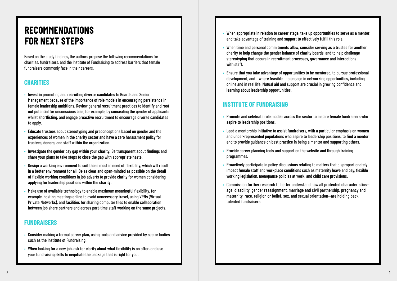Based on the study findings, the authors propose the following recommendations for charities, fundraisers, and the Institute of Fundraising to address barriers that female fundraisers commonly face in their careers.

#### **CHARITIES**

- **•** Invest in promoting and recruiting diverse candidates to Boards and Senior Management because of the importance of role models in encouraging persistence in female leadership ambitions. Review general recruitment practices to identify and root out potential for unconscious bias, for example, by concealing the gender of applicants whilst shortlisting, and engage proactive recruitment to encourage diverse candidates to apply.
- **•** Educate trustees about stereotyping and preconceptions based on gender and the experiences of women in the charity sector and have a zero harassment policy for trustees, donors, and staff within the organization.
- **•** Investigate the gender pay gap within your charity. Be transparent about findings and share your plans to take steps to close the gap with appropriate haste.
- **•** Design a working environment to suit those most in need of flexibility, which will result in a better environment for all. Be as clear and open-minded as possible on the detail of flexible working conditions in job adverts to provide clarity for women considering applying for leadership positions within the charity.
- **•** Make use of available technology to enable maximum meaningful flexibility, for example, hosting meetings online to avoid unnecessary travel, using VPNs (Virtual Private Networks), and facilities for sharing computer files to enable collaboration between job share partners and across part-time staff working on the same projects.

#### **FUNDRAISERS**

- **•** Consider making a formal career plan, using tools and advice provided by sector bodies such as the Institute of Fundraising.
- **•** When looking for a new job, ask for clarity about what flexibility is on offer, and use your fundraising skills to negotiate the package that is right for you.
- **•** When appropriate in relation to career stage, take up opportunities to serve as a mentor, and take advantage of training and support to effectively fulfill this role.
- **•** When time and personal commitments allow, consider serving as a trustee for another charity to help change the gender balance of charity boards, and to help challenge stereotyping that occurs in recruitment processes, governance and interactions with staff.
- **•** Ensure that you take advantage of opportunities to be mentored, to pursue professional development, and – where feasible – to engage in networking opportunities, including online and in real life. Mutual aid and support are crucial in growing confidence and learning about leadership opportunities.

#### **INSTITUTE OF FUNDRAISING**

- **•** Promote and celebrate role models across the sector to inspire female fundraisers who aspire to leadership positions.
- **•** Lead a mentorship initiative to assist fundraisers, with a particular emphasis on women and under-represented populations who aspire to leadership positions, to find a mentor, and to provide guidance on best practice in being a mentor and supporting others.
- **•** Provide career planning tools and support on the website and through training programmes.
- **•** Proactively participate in policy discussions relating to matters that disproportionately impact female staff and workplace conditions such as maternity leave and pay, flexible working legislation, menopause policies at work, and child care provisions.
- **•** Commission further research to better understand how all protected characteristics age, disability, gender reassignment, marriage and civil partnership, pregnancy and maternity, race, religion or belief, sex, and sexual orientation—are holding back talented fundraisers.

## <span id="page-4-0"></span>**RECOMMENDATIONS FOR NEXT STEPS**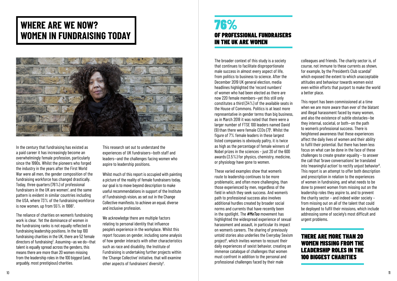In the century that fundraising has existed as a paid career it has increasingly become an overwhelmingly female profession, particularly since the 1990s. Whilst the pioneers who forged the industry in the years after the First World War were all men, the gender composition of the fundraising workforce has changed drastically. Today, three quarters (76%) of professional fundraisers in the UK are women<sup>1</sup>, and the same pattern is evident in similar countries including the USA, where 73% of the fundraising workforce is now women, up from  $55\%$  in 1996<sup>2</sup>.

### <span id="page-5-0"></span>**WHERE ARE WE NOW? WOMEN IN FUNDRAISING TODAY**



We acknowledge there are multiple factors relating to personal identity that influence people's experience in the workplace. Whilst this report focuses on gender, including some analysis of how gender interacts with other characteristics such as race and disability, the Institute of Fundraising is undertaking further projects within the 'Change Collective' initiative, that will examine other aspects of fundraisers' diversity<sup>4</sup>.

The reliance of charities on women's fundraising work is clear. Yet the dominance of women in the fundraising ranks is not equally reflected in fundraising leadership positions. In the top 100 fundraising charities in the UK, there are 52 female directors of fundraising<sup>3</sup>. Assuming—as we do—that talent is equally spread across the genders, this means there are more than 20 women missing from the leadership roles in the 100 biggest (and, arguably, most prestigious) charities.

This research set out to understand the experiences of UK fundraisers—both staff and leaders—and the challenges facing women who aspire to leadership positions.

Whilst much of this report is occupied with painting a picture of the reality of female fundraisers today, our goal is to move beyond description to make useful recommendations in support of the Institute of Fundraising's vision, as set out in the Change Collective manifesto, to achieve an equal, diverse and inclusive profession.

The broader context of this study is a society that continues to facilitate disproportionate male success in almost every aspect of life, from politics to business to science. After the December 2019 UK general election, media headlines highlighted the 'record numbers' of women who had been elected as there are now 220 female members—yet this still only constitutes a third (34%) of the available seats in the House of Commons. Politics is at least more representative in gender terms than big business, as in March 2018 it was noted that there were a larger number of FTSE 100 leaders named David (9) than there were female CEOs (7) $^{\rm 5}$ . Whilst the figure of 7% female leaders in these largest listed companies is obviously paltry, it is twice as high as the percentage of female winners of Nobel prizes in the sciences – just 20 of the 600 awards (3.5%) for physics, chemistry, medicine, or physiology have gone to women.

These varied examples show that women's route to leadership continues to be more problematic, and often more challenging, than those experienced by men, regardless of the field in which they seek success. And women's path to professional success also involves additional hurdles created by broader social norms and currents that have recently been in the spotlight. The *#MeToo* movement has highlighted the widespread experience of sexual harassment and assault, in particular its impact on women's careers. The sharing of previously untold stories also underlies the Everyday Sexism project<sup>6</sup>, which invites women to recount their daily experiences of sexist behavior, creating an immense catalogue of challenges that women must confront in addition to the personal and professional challenges faced by their male

colleagues and friends. The charity sector is, of course, not immune to these currents as shown, for example, by the President's Club scandal<sup>7</sup> which exposed the extent to which unacceptable attitudes and behaviour towards women exist even within efforts that purport to make the world a better place.

This report has been commissioned at a time when we are more aware than ever of the blatant and illegal harassment faced by many women, and also the existence of subtle obstacles—be they internal, societal, or both—on the path to women's professional success. There is heightened awareness that these experiences affect the daily lives of women and their ability to fulfil their potential. But there has been less focus on what can be done in the face of these challenges to create greater equality – to answer the call that 'brave conversations' be translated into 'meaningful action' to rectify unjust behavior<sup>8</sup>. This report is an attempt to offer both description and prescription in relation to the experiences of women in fundraising, and what needs to be done to prevent women from missing out on the leadership roles they aspire to, and to prevent the charity sector – and indeed wider society – from missing out on all of the talent that could be deployed to fulfil their missions, which include addressing some of society's most difficult and urgent problems.

### 76% OF PROFESSIONAL FUNDRAISERS IN THE UK ARE WOMEN

#### THERE ARE MORE THAN 20 WOMEN MISSING FROM THE LEADERSHIP ROLES IN THE 100 BIGGEST CHARITIES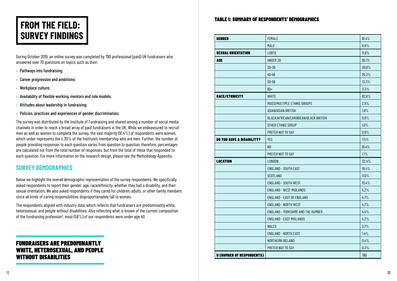## <span id="page-6-0"></span>**FROM THE FIELD: SURVEY FINDINGS**

During October 2019, an online survey was completed by 790 professional (paid) UK fundraisers who answered over 70 questions on topics such as their:

- **•** Pathways into fundraising;
- **•** Career progression and ambitions;
- **•** Workplace culture;
- **•** Availability of flexible working, mentors and role models;
- **•** Attitudes about leadership in fundraising;
- **•** Policies, practices and experiences of gender discrimination;

The respondents aligned with industry data, which reflects that fundraisers are predominantly white, heterosexual, and people without disabilities. Also reflecting what is known of the current composition of the fundraising profession $^{\rm 9}$ , most (58%) of our respondents were under age 40.

The survey was distributed by the Institute of Fundraising and shared among a number of social media channels in order to reach a broad array of paid fundraisers in the UK. While we endeavoured to recruit men as well as women to complete the survey, the vast majority (91.4%) of respondents were women, which under-represents the c.30% of the Institute's membership who are men. Further, the number of people providing responses to each question varies from question to question; therefore, percentages are calculated not from the total number of responses, but from the total of those that responded to each question. For more information on the research design, please see the Methodology Appendix.

#### **SURVEY DEMOGRAPHICS**

Below we highlight the overall demographic representation of the survey respondents. We specifically asked respondents to report their gender, age, race/ethnicity, whether they had a disability, and their sexual orientation. We also asked respondents if they cared for children, adults, or other family members since all kinds of caring responsibilities disproportionately fall to women.

#### TABLE 1: SUMMARY OF RESPONDENTS' DEMOGRAPHICS

| <b>GENDER</b>                    | <b>FEMALE</b>                         | 91.4% |
|----------------------------------|---------------------------------------|-------|
|                                  | <b>MALE</b>                           | 8.6%  |
| <b>SEXUAL ORIENTATION</b>        | LGBT <sub>0</sub>                     | 11.9% |
| <b>AGE</b>                       | UNDER 30                              | 20.1% |
|                                  | 30-39                                 | 38.0% |
|                                  | $40 - 49$                             | 25.2% |
|                                  | $50 - 59$                             | 13.3% |
|                                  | $60+$                                 | 3.3%  |
| <b>RACE/ETHNICITY</b>            | <b>WHITE</b>                          | 92.9% |
|                                  | MIXED/MULTIPLE ETHNIC GROUPS          | 2.8%  |
|                                  | ASIAN/ASIAN BRITISH                   | 1.9%  |
|                                  | BLACK/AFRICAN/CARIBBEAN/BLACK BRITISH | 0.8%  |
|                                  | OTHER ETHNIC GROUP                    | 1.0%  |
|                                  | PREFER NOT TO SAY                     | 0.6%  |
| <b>DO YOU HAVE A DISABILITY?</b> | <b>YES</b>                            | 7.5%  |
|                                  | N <sub>0</sub>                        | 91.4% |
|                                  | PREFER NOT TO SAY                     | 1.1%  |
| <b>LOCATION</b>                  | <b>LONDON</b>                         | 32.4% |
|                                  | <b>ENGLAND - SOUTH EAST</b>           | 18.4% |
|                                  | <b>SCOTLAND</b>                       | 11.0% |
|                                  | <b>ENGLAND - SOUTH WEST</b>           | 10.4% |
|                                  | <b>ENGLAND - WEST MIDLANDS</b>        | 5.2%  |
|                                  | <b>ENGLAND - EAST OF ENGLAND</b>      | 4.7%  |
|                                  | <b>ENGLAND - NORTH WEST</b>           | 4.7%  |
|                                  | ENGLAND - YORKSHIRE AND THE HUMBER    | 4.4%  |
|                                  | <b>ENGLAND - EAST MIDLANDS</b>        | 4.2%  |
|                                  | <b>WALES</b>                          | 2.7%  |
|                                  | <b>ENGLAND - NORTH EAST</b>           | 1.4%  |
|                                  | NORTHERN IRELAND                      | 0.4%  |
|                                  | PREFER NOT TO SAY                     | 0.3%  |
| <b>N (NUMBER OF RESPONDENTS)</b> |                                       | 790   |

#### FUNDRAISERS ARE PREDOMINANTLY WHITE, HETEROSEXUAL, AND PEOPLE WITHOUT DISABILITIES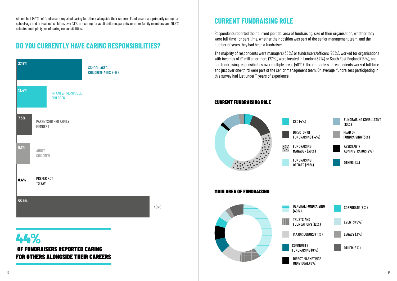#### **CURRENT FUNDRAISING ROLE**

Respondents reported their current job title, area of fundraising, size of their organisation, whether they were full-time or part-time, whether their position was part of the senior management team, and the number of years they had been a fundraiser.

The majority of respondents were managers (38%) or fundraisers/officers (28%), worked for organisations with incomes of £1 million or more (77%), were located in London (32%) or South East England (18%), and had fundraising responsibilities over multiple areas (40%). Three-quarters of respondents worked full-time and just over one-third were part of the senior management team. On average, fundraisers participating in this survey had just under 11 years of experience.

#### CURRENT FUNDRAISING ROLE



MAIN AREA OF FUNDRAISING



#### **DO YOU CURRENTLY HAVE CARING RESPONSIBILITIES?**

### 44% OF FUNDRAISERS REPORTED CARING FOR OTHERS ALONGSIDE THEIR CAREERS



Almost half (44%) of fundraisers reported caring for others alongside their careers. Fundraisers are primarily caring for school-age and pre-school children, over 13% are caring for adult children, parents, or other family members, and 10.5% selected multiple types of caring responsibilities.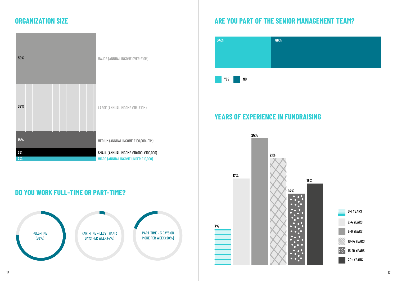#### **YEARS OF EXPERIENCE IN FUNDRAISING**

#### **DO YOU WORK FULL-TIME OR PART-TIME?**



| 39%      | MAJOR (ANNUAL INCOME OVER £10M)                                               |
|----------|-------------------------------------------------------------------------------|
| 38%      | LARGE (ANNUAL INCOME £1M-£10M)                                                |
| 14%      | MEDIUM (ANNUAL INCOME £100,000-£1M)                                           |
| 7%<br>2% | SMALL (ANNUAL INCOME £10,000-£100,000)<br>MICRO (ANNUAL INCOME UNDER £10,000) |

### **ORGANIZATION SIZE ARE YOU PART OF THE SENIOR MANAGEMENT TEAM?**





0–1 YEARS

2–4 YEARS



5–9 YEARS

10–14 YEARS

15–19 YEARS

20+ YEARS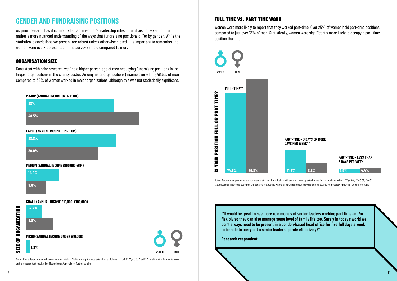### **GENDER AND FUNDRAISING POSITIONS**

As prior research has documented a gap in women's leadership roles in fundraising, we set out to gather a more nuanced understanding of the ways that fundraising positions differ by gender. While the statistical associations we present are robust unless otherwise stated, it is important to remember that women were over-represented in the survey sample compared to men.

#### ORGANISATION SIZE

Consistent with prior research, we find a higher percentage of men occupying fundraising positions in the largest organizations in the charity sector. Among major organizations (income over £10m), 48.5% of men compared to 38% of women worked in major organizations, although this was not statistically significant.

#### FULL TIME VS. PART TIME WORK

Women were more likely to report that they worked part-time. Over 25% of women held part-time positions compared to just over 13% of men. Statistically, women were significantly more likely to occupy a part-time position than men.



Notes: Percentages presented are summary statistics. Statistical significance axis labels as follows: \*\*\**p*<0.01, \*\**p*<0.05, \* *p*<0.1. Statistical significance is based on Chi-squared test results. See Methodology Appendix for further details.

 **"It would be great to see more role models of senior leaders working part time and/or flexibly so they can also manage some level of family life too. Surely in today's world we don't always need to be present in a London-based head office for five full days a week to be able to carry out a senior leadership role effectively?"**



**Research respondent**

Notes: Percentages presented are summary statistics. Statistical significance is shown by asterisk use in axis labels as follows: *\*\*\*p*<0.01*, \*\*p*<0.05*, \* p*<0.1*.*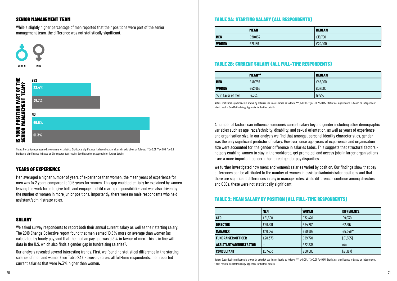

|                     | MEAN**  | <b>MEDIAN</b> |
|---------------------|---------|---------------|
| <b>MEN</b>          | £49,766 | £46,000       |
| <b>WOMEN</b>        | £42,655 | £37,000       |
| $%$ in favor of men | 14.3%   | 19.5%         |

#### SENIOR MANAGEMENT TEAM

While a slightly higher percentage of men reported that their positions were part of the senior management team, the difference was not statistically significant.

#### TABLE 2A: STARTING SALARY (ALL RESPONDENTS)

#### TABLE 3: MEAN SALARY BY POSITION (ALL FULL-TIME RESPONDENTS)

#### TABLE 2B: CURRENT SALARY (ALL FULL-TIME RESPONDENTS)

#### YEARS OF EXPERIENCE

We asked survey respondents to report both their annual current salary as well as their starting salary. The 2018 Change Collective report found that men earned 10.8% more on average than women (as calculated by hourly pay) and that the median pay gap was 9.3% in favour of men. This is in line with data in the U.S. which also finds a gender gap in fundraising salaries<sup>10</sup>.

Men averaged a higher number of years of experience than women: the mean years of experience for men was 14.2 years compared to 10.6 years for women. This gap could potentially be explained by women leaving the work force to give birth and engage in child rearing responsibilities and was also driven by the number of women in more junior positions. Importantly, there were no male respondents who held assistant/administrator roles.

#### SALARY

We further investigated how men's and women's salaries varied by position. Our findings show that pay differences can be attributed to the number of women in assistant/administrator positions and that there are significant differences in pay in manager roles. While differences continue among directors and CEOs, these were not statistically significant.

Our analysis revealed several interesting trends. First, we found no statistical difference in the starting salaries of men and women (see Table 2A). However, across all full-time respondents, men reported current salaries that were 14.3% higher than women.

Notes: Statistical significance is shown by asterisk use in axis labels as follows: \*\*\* p<0.001, \*p<0.01, \*p<0.05. Statistical significance is based on independent t-test results. See Methodology Appendix for further details.

A number of factors can influence someone's current salary beyond gender including other demographic variables such as age, race/ethnicity, disability, and sexual orientation, as well as years of experience and organisation size. In our analysis we find that amongst personal identity characteristics, gender was the only significant predictor of salary. However, once age, years of experience, and organisation size were accounted for, the gender difference in salaries fades. This suggests that structural factors – notably enabling women to stay in the workforce, get promoted, and access jobs in larger organisations - are a more important concern than direct gender pay disparities.

Notes: Percentages presented are summary statistics. Statistical significance is shown by asterisk use in axis labels as follows: *\*\*\*p*<0.01*, \*\*p*<0.05*, \* p*<0.1*.*  Statistical significance is based on Chi-squared test results. See Methodology Appendix for further details.



Notes: Statistical significance is shown by asterisk use in axis labels as follows: *\*\*\* p*<0.001*, \*\*p*<0.01*, \*p*<0.05. Statistical significance is based on independent t-test results. See Methodology Appendix for further details.

|              | <b>MEAN</b> | <b>MEDIAN</b> |
|--------------|-------------|---------------|
| <b>MEN</b>   | £20,032     | £19,700       |
| <b>WOMEN</b> | £21,186     | £20,000       |

|                                | <b>MEN</b> | <b>WOMEN</b> | <b>DIFFERENCE</b> |
|--------------------------------|------------|--------------|-------------------|
| <b>CEO</b>                     | £81,500    | £72,470      | £9,030            |
| <b>DIRECTOR</b>                | £66,581    | £64,284      | £2,297            |
| <b>MANAGER</b>                 | £46,047    | £40,698      | £5,349**          |
| <b>FUNDRAISER/OFFICER</b>      | £28,375    | £29,770      | (E1, 395)         |
| <b>ASSISTANT/ADMINISTRATOR</b> |            | £22,335      | n/a               |
| <b>CONSULTANT</b>              | £67,433    | £68,600      | (E1, 167)         |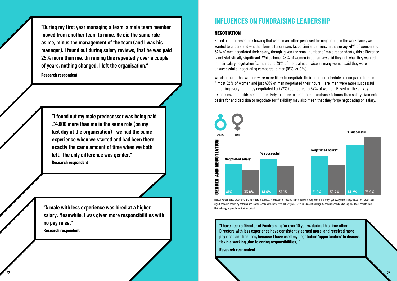#### **INFLUENCES ON FUNDRAISING LEADERSHIP**

#### **NEGOTIATION**

Based on prior research showing that women are often penalised for negotiating in the workplace<sup>n</sup>, we wanted to understand whether female fundraisers faced similar barriers. In the survey, 41% of women and 34% of men negotiated their salary, though, given the small number of male respondents, this difference is not statistically significant. While almost 48% of women in our survey said they got what they wanted in their salary negotiation (compared to 39% of men), almost twice as many women said they were unsuccessful at negotiating compared to men (16% vs. 9%).

We also found that women were more likely to negotiate their hours or schedule as compared to men. Almost 52% of women and just 40% of men negotiated their hours. Here, men were more successful at getting everything they negotiated for (77%) compared to 67% of women. Based on the survey responses, nonprofits seem more likely to agree to negotiate a fundraiser's hours than salary. Women's desire for and decision to negotiate for flexibility may also mean that they forgo negotiating on salary.



Notes: Percentages presented are summary statistics. % successful reports individuals who responded that they "got everything I negotiated for." Statistical significance is shown by asterisk use in axis labels as follows: \*\*\*p<0.01, \*\*p<0.05, \*p<0.1. Statistical significance is based on Chi-squared test results. See

**"I have been a Director of Fundraising for over 10 years, during this time other Directors with less experience have consistently earned more, and received more pay rises and bonuses, because I have used my negotiation 'opportunities' to discuss flexible working (due to caring responsibilities)."**

**Research respondent**





**"During my first year managing a team, a male team member moved from another team to mine. He did the same role as me, minus the management of the team (and I was his manager). I found out during salary reviews, that he was paid 25% more than me. On raising this repeatedly over a couple of years, nothing changed. I left the organisation."**

**Research respondent**

**"I found out my male predecessor was being paid £4,000 more than me in the same role (on my last day at the organisation) - we had the same experience when we started and had been there exactly the same amount of time when we both left. The only difference was gender." Research respondent**

**"A male with less experience was hired at a higher salary. Meanwhile, I was given more responsibilities with no pay raise." Research respondent**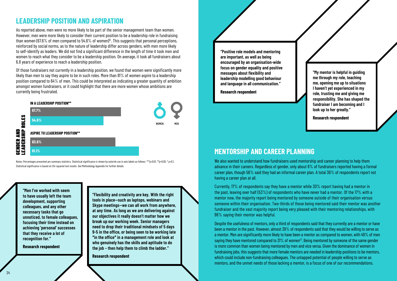**"Flexibility and creativity are key. With the right tools in place—such as laptops, webinars and Skype meetings—we can all work from anywhere, at any time. As long as we are delivering against our objectives it really doesn't matter how we break up our working week. Senior managers need to drop their traditional mindsets of 5 days 9-5 in the office, or being seen to be working late \*in the office\* in a management role and look at who genuinely has the skills and aptitude to do the job – then help them to climb the ladder."**

**Research respondent**

**"Men I've worked with seem to have usually left the team development, supporting colleagues, and any other necessary tasks that go unnoticed, to female colleagues, focusing their time instead on achieving 'personal' successes that they receive a lot of recognition for."**

**Research respondent**

#### **MENTORSHIP AND CAREER PLANNING**

We also wanted to understand how fundraisers used mentorship and career planning to help them advance in their careers. Regardless of gender, only about 8% of fundraisers reported having a formal career plan, though 56% said they had an informal career plan. A total 36% of respondents report not having a career plan at all.

Notes: Percentages presented are summary statistics. Statistical significance is shown by asterisk use in axis labels as follows: *\*\*\*p*<0.01*, \*\*p*<0.05*, \* p*<0.1*.*  Statistical significance is based on Chi-squared test results. See Methodology Appendix for further details

> Currently, 17% of respondents say they have a mentor while 30% report having had a mentor in the past, leaving over half (53%) of respondents who have never had a mentor. Of the 17% with a mentor now, the majority report being mentored by someone outside of their organisation versus someone within their organisation. Two-thirds of those being mentored said their mentor was another fundraiser and the vast majority report being very pleased with their mentoring relationships, with 98% saying their mentor was helpful.

> Despite the usefulness of mentors, only a third of respondents said that they currently are a mentor or have been a mentor in the past. However, almost 39% of respondents said that they would be willing to serve as a mentor. Men are significantly more likely to have been a mentor as compared to women, with 49% of men saying they have mentored compared to 31% of women<sup>13</sup>. Being mentored by someone of the same gender is more common than women being mentored by men and vice versa. Given the dominance of women in fundraising jobs, this suggests that more female mentors are needed in leadership positions to be mentors, which could include non-fundraising colleagues. The untapped potential of people willing to serve as mentors, and the unmet needs of those lacking a mentor, is a focus of one of our recommendations.

**"Positive role models and mentoring are important, as well as being encouraged by an organisation-wide focus on gender equality and positive messages about flexibility and leadership modelling good behaviour and language in all communication."**

**Research respondent**

**"My mentor is helpful in guiding me through my role, teaching me, opening me up to situations I haven't yet experienced in my role, trusting me and giving me responsibility. She has shaped the fundraiser I am becoming and I look up to her greatly."**

**Research respondent**



#### **LEADERSHIP POSITION AND ASPIRATION**

As reported above, men were no more likely to be part of the senior management team than women. However, men were more likely to consider their current position to be a leadership role in fundraising than women (67.6% of men compared to 54.6% of women)<sup>2</sup>. This suggests that personal perceptions, reinforced by social norms, as to the nature of leadership differ across genders, with men more likely to self-identify as leaders. We did not find a significant difference in the length of time it took men and women to reach what they consider to be a leadership position. On average, it took all fundraisers about 6.8 years of experience to reach a leadership position.

Of those fundraisers not currently in a leadership position, we found that women were significantly more likely than men to say they aspire to be in such roles. More than 81% of women aspire to a leadership position compared to 64% of men. This could be interpreted as indicating a greater quantity of ambition amongst women fundraisers, or it could highlight that there are more women whose ambitions are currently being frustrated.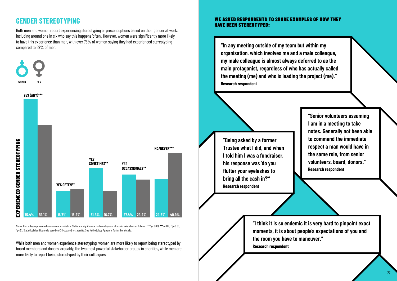#### WE ASKED RESPONDENTS TO SHARE EXAMPLES OF HOW THEY HAVE BEEN STEREOTYPED:

**"In any meeting outside of my team but within my organisation, which involves me and a male colleague, my male colleague is almost always deferred to as the main protagonist, regardless of who has actually called the meeting (me) and who is leading the project (me)." Research respondent**

**"Being asked by a former Trustee what I did, and when I told him I was a fundraiser, his response was 'do you flutter your eyelashes to bring all the cash in?'" Research respondent**

**"Senior volunteers assuming I am in a meeting to take notes. Generally not been able to command the immediate respect a man would have in the same role, from senior volunteers, board, donors." Research respondent**

**"I think it is so endemic it is very hard to pinpoint exact moments, it is about people's expectations of you and the room you have to maneuver." Research respondent**

### **GENDER STEREOTYPING**

Both men and women report experiencing stereotyping or preconceptions based on their gender at work, including around one in six who say this happens 'often'. However, women were significantly more likely to have this experience than men, with over 75% of women saying they had experienced stereotyping compared to 59% of men.

While both men and women experience stereotyping, women are more likely to report being stereotyped by board members and donors, arguably, the two most powerful stakeholder groups in charities, while men are more likely to report being stereotyped by their colleagues.



Notes: Percentages presented are summary statistics. Statistical significance is shown by asterisk use in axis labels as follows: *\*\*\*\* p*<0.001*, \*\*\*p*<0.01*, \*\*p*<0.05*, \*p*<0.1*.* Statistical significance is based on Chi-squared test results. See Methodology Appendix for further details.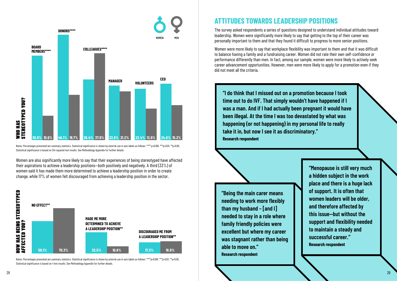

Notes: Percentages presented are summary statistics. Statistical significance is shown by asterisk use in axis labels as follows: *\*\*\*\* p*<0.001*, \*\*\*p*<0.01*, \*\*p*<0.05*.* Statistical significance is based on Chi-squared test results. See Methodology Appendix for further details.

Notes: Percentages presented are summary statistics. Statistical significance is shown by asterisk use in axis labels as follows: *\*\*\*\*p*<0.001*, \*\*\*p*<0.01*, \*\*p*<0.05*.*  Statistical significance is based on t-test results. See Methodology Appendix for further details.

Women are also significantly more likely to say that their experiences of being stereotyped have affected their aspirations to achieve a leadership positions—both positively and negatively. A third (33%) of women said it has made them more determined to achieve a leadership position in order to create change, while 17% of women felt discouraged from achieving a leadership position in the sector.

### **ATTITUDES TOWARDS LEADERSHIP POSITIONS**

The survey asked respondents a series of questions designed to understand individual attitudes toward leadership. Women were significantly more likely to say that getting to the top of their career was personally important to them and that they found it difficult to progress to more senior positions.



Women were more likely to say that workplace flexibility was important to them and that it was difficult to balance having a family and a fundraising career. Women did not rate their own self-confidence or performance differently than men. In fact, among our sample, women were more likely to actively seek career advancement opportunities. However, men were more likely to apply for a promotion even if they did not meet all the criteria.

**"I do think that I missed out on a promotion because I took time out to do IVF. That simply wouldn't have happened if I was a man. And if I had actually been pregnant it would have been illegal. At the time I was too devastated by what was happening (or not happening) in my personal life to really take it in, but now I see it as discriminatory." Research respondent**

**"Being the main carer means needing to work more flexibly than my husband – [and I] needed to stay in a role where family friendly policies were excellent but where my career was stagnant rather than being able to move on." Research respondent**

**"Menopause is still very much a hidden subject in the work place and there is a huge lack of support. It is often that women leaders will be older, and therefore affected by this issue—but without the support and flexibility needed to maintain a steady and successful career." Research respondent**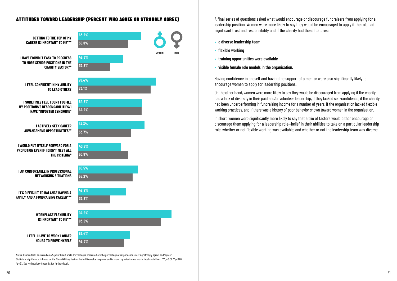#### ATTITUDES TOWARD LEADERSHIP (PERCENT WHO AGREE OR STRONGLY AGREE)

Notes: Respondents answered on a 5-point Likert scale. Percentages presented are the percentage of respondents selecting "strongly agree" and "agree." Statistical significance is based on the Mann-Whitney test on the full five-value response and is shown by asterisk use in axis labels as follows: \**\*\* p*<0.01*, \*\*p*<0.05*, \*p*<0.1. See Methodology Appendix for further detail.

A final series of questions asked what would encourage or discourage fundraisers from applying for a leadership position. Women were more likely to say they would be encouraged to apply if the role had significant trust and responsibility and if the charity had these features:

- **•** a diverse leadership team
- **•** flexible working
- **•** training opportunities were available
- **•** visible female role models in the organisation.

Having confidence in oneself and having the support of a mentor were also significantly likely to encourage women to apply for leadership positions.

On the other hand, women were more likely to say they would be discouraged from applying if the charity had a lack of diversity in their paid and/or volunteer leadership, if they lacked self-confidence, if the charity had been underperforming in fundraising income for a number of years, if the organisation lacked flexible working practices, and if there was a history of poor behavior shown toward women in the organisation.



In short, women were significantly more likely to say that a trio of factors would either encourage or discourage them applying for a leadership role—belief in their abilities to take on a particular leadership role, whether or not flexible working was available, and whether or not the leadership team was diverse.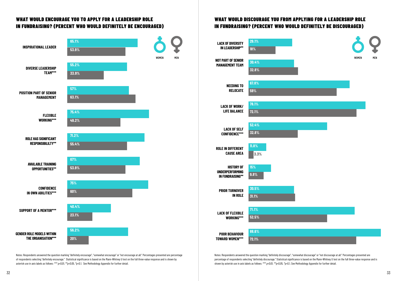#### WHAT WOULD DISCOURAGE YOU FROM APPLYING FOR A LEADERSHIP ROLE IN FUNDRAISING? (PERCENT WHO WOULD DEFINITELY BE DISCOURAGED)

Notes: Respondents answered the question marking "definitely discourage", "somewhat discourage" or "not discourage at all." Percentages presented are percentage of respondents selecting "definitely discourage." Statistical significance is based on the Mann-Whitney U test on the full three-value response and is shown by asterisk use in axis labels as follows: *\*\*\* p*<0.01*, \*\*p*<0.05*, \*p*<0.1*.* See Methodology Appendix for further detail.







#### WHAT WOULD ENCOURAGE YOU TO APPLY FOR A LEADERSHIP ROLE IN FUNDRAISING? (PERCENT WHO WOULD DEFINITELY BE ENCOURAGED)

| Ī                   | <b>LACK OF DIVERSITY</b><br><b>IN LEADERSHIP**</b>                     | 29.1%<br>18%                   |            |
|---------------------|------------------------------------------------------------------------|--------------------------------|------------|
| WOMEN<br><b>MEN</b> | <b>NOT PART OF SENIOR</b><br><b>MANAGEMENT TEAM</b>                    | <b>WOMEN</b><br>30.4%<br>32.8% | <b>MEN</b> |
|                     | <b>NEEDING TO</b><br><b>RELOCATE</b>                                   | 67.8%<br>59%                   |            |
|                     | <b>LACK OF WORK/</b><br><b>LIFE BALANCE</b>                            | 78.1%<br>72.1%                 |            |
|                     | <b>LACK OF SELF</b><br><b>CONFIDENCE***</b>                            | 52.4%<br>32.8%                 |            |
|                     | <b>ROLE IN DIFFERENT</b><br><b>CAUSE AREA</b>                          | 11.8%<br>3.3%                  |            |
|                     | <b>HISTORY OF</b><br><b>UNDERPERFORMING</b><br><b>IN FUNDRAISING**</b> | 15%<br>9.8%                    |            |
|                     | <b>PRIOR TURNOVER</b><br><b>IN ROLE</b>                                | 30.5%<br>31.1%                 |            |
|                     | <b>LACK OF FLEXIBLE</b><br>WORKING***                                  | 71.1%<br>52.5%                 |            |
|                     | <b>POOR BEHAVIOUR</b><br><b>TOWARD WOMEN***</b>                        | 88.6%<br>72.1%                 |            |

Notes: Respondents answered the question marking "definitely encourage", "somewhat encourage" or "not encourage at all." Percentages presented are percentage of respondents selecting "definitely encourage." Statistical significance is based on the Mann-Whitney U test on the full three-value response and is shown by asterisk use in axis labels as follows: *\*\*\* p*<0.01*, \*\*p*<0.05*, \*p*<0.1*.* See Methodology Appendix for further detail.

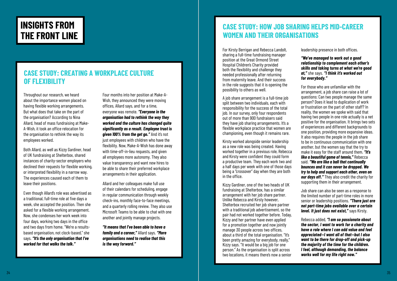### <span id="page-17-0"></span>**INSIGHTS FROM THE FRONT LINE**

Throughout our research, we heard about the importance women placed on having flexible working arrangements. But what does that take on the part of the organisation? According to Nina Allard, head of mass fundraising at Make-A-Wish, it took an office relocation for the organisation to rethink the way its employees worked.

Both Allard, as well as Kizzy Gardiner, head of UK fundraising at Shelterbox, shared instances of charity-sector employers who declined their requests for flexible working, or interpreted flexibility in a narrow way. The experiences caused each of them to leave their positions.

Even though Allard's role was advertised as a traditional, full-time role at five days a week, she accepted the position. Then she asked for a flexible working arrangement. Now, she condenses her work week into four days, working two days in the office and two days from home. "We're a resultsbased organisation, not clock-based," she says. *"It's the only organisation that I've worked for that walks the talk."*

#### **CASE STUDY: CREATING A WORKPLACE CULTURE OF FLEXIBILITY**

Four months into her position at Make-A-Wish, they announced they were moving offices, Allard says, and for a time, everyone was remote. *"Everyone in the organisation had to rethink the way they worked and the culture has changed quite significantly as a result. Employee trust is given 100% from the get go."* And it's not just employees with children who have the flexibility. Now, Make-A-Wish has done away with time-off-in-lieu requests, and given all employees more autonomy. They also value transparency and want new hires to be able to share their preferred workplace arrangements in their application.

Allard and her colleagues make full use of their calendars for scheduling, engage in regular communication through weekly check-ins, monthly face-to-face meetings, and a quarterly rolling review. They also use Microsoft Teams to be able to chat with one another and jointly manage projects.

*"It means that I've been able to have a family and a career,"* Allard says. *"More organisations need to realise that this is the way forward."*

For Kirsty Berrigan and Rebecca Landolt, sharing a full-time fundraising manager position at the Great Ormond Street Hospital Children's Charity provided both the flexibility and challenge they needed professionally after returning from maternity leave. And their success in the role suggests that it is opening the possibility to others as well.

A job share arrangement is a full-time job split between two individuals, each with responsibility for the success of the total job. In our survey, only four respondents out of more than 900 fundraisers said they have job sharing arrangements. It's a flexible workplace practice that women are championing, even though it remains rare.

Kirsty worked alongside senior leadership as a new role was being created. Having worked together in a previous role, Rebecca and Kirsty were confident they could form a productive team. They each work two and a half days per week with one of those days being a "crossover" day when they are both in the office.

Kizzy Gardiner, one of the two heads of UK fundraising at Shelterbox, has a similar arrangement with her job share partner. Unlike Rebecca and Kirsty however, Shelterbox recruited her job share partner with a traditional job advertisement, so the pair had not worked together before. Today, Kizzy and her partner have even applied for a promotion together and now jointly manage 30 people across two offices, about a third of the total organisation. "It's been pretty amazing for everybody, really," Kizzy says. "It would be a big job for one person." As the organisation is split across two locations, it means there's now a senior

#### **CASE STUDY: HOW JOB SHARING HELPS MID-CAREER WOMEN AND THEIR ORGANISATIONS**

leadership presence in both offices.

*"We've managed to work out a good relationship to complement each other's skills and taking turns at what we're good at,"* she says. *"I think it's worked out for everybody."*

For those who are unfamiliar with the arrangement, a job share can raise a lot of questions: Can two people manage the same person? Does it lead to duplication of work or frustration on the part of other staff? In reality, the women we spoke with said that having two people in one role actually is a net positive for the organisation. It brings two sets of experiences and different backgrounds to one position, providing more expansive ideas. It also requires the people in the job share to be in continuous communication with one another, but the women say that the try to make it easy for the staff around them. *"It's like a beautiful game of tennis,"* Rebecca said. *"We are like a ball that continually bounces and it can never be dropped. We try to help and support each other, even on our days off."* They also credit the charity for supporting them in their arrangement.

Job share can also be seen as a response to the limited number of part-time roles in more senior or leadership positions. *"There just are not part-time jobs available over a certain level. It just does not exist,"* says Kirsty.

Rebecca added, *"I am so passionate about the sector, I want to work for a charity and have a role where I can add value and feel appreciated—I want all of that—but I also want to be there for drop-off and pick-up the majority of the time for the children. I feel, although demanding, the balance works well for my life right now."*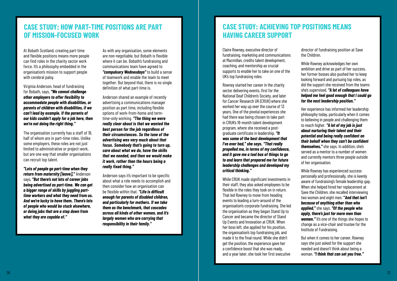At Bobath Scotland, creating part-time and flexible positions means more people can find roles in the charity sector work force. It's a philosophy embedded in the organisation's mission to support people with cerebral palsy.

Virginia Anderson, head of fundraising for Bobath, says, *"We cannot challenge other employers to offer flexibility to accommodate people with disabilities, or parents of children with disabilities, if we can't lead by example. If the parents of our kids couldn't apply for a job here, then we're not doing the right thing."* 

The organisation currently has a staff of 18, half of whom are in part-time roles. Unlike some employers, these roles are not just limited to administrative or project-work, but are one way that smaller organisations can recruit top talent.

*"Lots of people go part-time when they return from maternity [leave],"* Anderson says, *"But there's not lots of career jobs being advertised as part-time. We can get a bigger range of skills by juggling parttime workers and what they need from us. And we're lucky to have them. There's lots of people who would be stuck elsewhere, or doing jobs that are a step down from what they are capable of."*

#### **CASE STUDY: HOW PART-TIME POSITIONS ARE PART OF MISSION-FOCUSED WORK**

As with any organisation, some elements are non-negotiable, but Bobath is flexible where it can be. Bobath's fundraising and communications team have agreed to *"compulsory Wednesdays"* to build a sense of teamwork and enable the team to meet together. But beyond that, there is no single definition of what part-time is.

Anderson shared an example of recently advertising a communications manager position as part time, including flexible options of work-from-home and termtime-only working. *"The thing we were really clear about is that we wanted the best person for the job regardless of their circumstances. So the tone of the advertising was very much about that focus. Somebody that's going to turn up, care about what we do, have the skills that we needed, and then we would make it work, rather than the hours being a really fixed thing."*

Anderson says it's important to be specific about what a role needs to accomplish and then consider how an organisation can be flexible within that. *"Life is difficult enough for parents of disabled children, and particularly for mothers. If we take them as the benchmark, that cascades across all kinds of other women, and it's largely women who are carrying that responsibility in their family."*

Claire Rowney, executive director of fundraising, marketing and communications at Macmillan, credits talent development, coaching, and mentorship as crucial supports to enable her to take on one of the UK's top fundraising roles.

Rowney started her career in the charity sector delivering events, first for the National Deaf Children's Society, and later for Cancer Research UK (CRUK) where she worked her way up over the course of 13 years. One of the pivotal experiences she had there was being chosen to take part in CRUK's 18-month talent development program, where she received a postgraduate certificate in leadership. *"It was some of the best development that I've ever had," she says. "That really propelled me, in terms of my confidence, and it gave me a tool box of things to go to and learn that prepared me for future leadership challenges and developed my critical thinking."*

While CRUK made significant investments in their staff, they also asked employees to be flexible in the roles they took on in return. That led Rowney to move from heading events to leading a turn-around of the organisation's corporate fundraising. She led the organisation as they began Stand Up to Cancer and became the director of Stand Up Events and Innovation at CRUK. When her boss left, she applied for his position, the organisation's top fundraising job, and made it to the final round. While she didn't get the position, the experience gave her a confidence boost that she was ready, and a year later, she took her first executive

#### **CASE STUDY: ACHIEVING TOP POSITIONS MEANS HAVING CAREER SUPPORT**

director of fundraising position at Save the Children.

While Rowney acknowledges her own ambition and drive as part of her success, her former bosses also pushed her to keep looking forward and pursuing top roles, as did the support she received from the teams she's supervised. *"A lot of colleagues have helped me feel good enough that I could go for the next leadership position."* 

Her experience has informed her leadership philosophy today, particularly when it comes to believing in people and challenging them to reach higher. *"A lot of my job is just about nurturing their talent and their potential and being really confident on their behalf when they can't be confident themselves,"* she says. In addition, she's served as a mentor to a number of women and currently mentors three people outside of her organisation.

While Rowney has experienced success personally and professionally, she is keenly aware of fundraising's female leadership gap. When she helped hired her replacement at Save the Children, she recalled interviewing two women and eight men. **"***And that isn't because of anything other than who applied,"* she says. *"Of the people who apply, there's just far more men than women."* It's one of the things she hopes to change as a vice-chair and trustee for the Institute of Fundraising.

But when it comes to her career, Rowney says she just asked for the support she needed and doesn't think about being a woman. *"I think that can set you free."*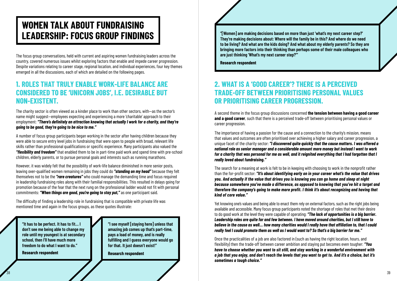**"I see myself [staying here] unless that amazing job comes up that's part-time, pays a load of money, and is really fulfilling and I guess everyone would go for that. It just doesn't exist!"** 

**Research respondent**

### <span id="page-19-0"></span>**WOMEN TALK ABOUT FUNDRAISING LEADERSHIP: FOCUS GROUP FINDINGS**

The focus group conversations, held with current and aspiring women fundraising leaders across the country, covered numerous issues whilst exploring factors that enable and impede career progression. Despite variations relating to career stage, regional location, and individual experiences, four key themes emerged in all the discussions, each of which are detailed on the following pages.

#### **1. ROLES THAT TRULY ENABLE WORK-LIFE BALANCE ARE CONSIDERED TO BE 'UNICORN JOBS', I.E. DESIRABLE BUT NON-EXISTENT.**

The charity sector is often viewed as a kinder place to work than other sectors, with—as the sector's name might suggest—employees expecting and experiencing a more 'charitable' approach to their employment: *"There's definitely an attraction knowing that actually I work for a charity, and they're going to be good, they're going to be nice to me."*

A number of focus group participants began working in the sector after having children because they were able to secure entry level jobs in fundraising that were open to people with broad, relevant life skills rather than professional qualifications or specific experience. Many participants also valued the *"flexibility and freedom"* that enabled them to be in part-time paid work and spend time with pre-school children, elderly parents, or to pursue personal goals and interests such as running marathons.

However, it was widely felt that the possibility of work-life balance diminished in more senior posts, leaving over-qualified women remaining in jobs they could do *"standing on my head"* because they felt themselves not to be the *"rare creatures"* who could manage the demanding time and focus required in leadership fundraising roles along with their familial responsibilities. This resulted in delays going for promotion because of the fear that the next rung on the professional ladder would not fit with personal commitments: *"When things are good, you're going to stay put,"* as one participant said.

The difficulty of finding a leadership role in fundraising that is compatible with private life was mentioned time and again in the focus groups, as these quotes illustrate:

**"It has to be perfect. It has to fit… I don't see me being able to change my role until my youngest is at secondary school, then I'll have much more freedom to do what I want to do."**

**Research respondent**

#### **2. WHAT IS A 'GOOD CAREER'? THERE IS A PERCEIVED TRADE-OFF BETWEEN PRIORITISING PERSONAL VALUES OR PRIORITISING CAREER PROGRESSION.**

A second theme in the focus group discussions concerned **the tension between having a good career and a good career**, such that there is a perceived trade-off between prioritising personal values or career progression.

The importance of having a passion for the cause and a connection to the charity's mission, means that values and outcomes are often prioritised over achieving a higher salary and career progression, a unique facet of the charity sector: *"I discovered quite quickly that the cause matters. I was offered a national role as senior manager and a considerable amount more money but instead I went to work for a charity that was personal for me as well, and it reignited everything that I had forgotten that I really loved about fundraising."* 

The search for a meaning at work is felt to be in keeping with choosing to work in the nonprofit rather than the for-profit sector: *"It's about identifying early on in your career what's the value that drives you. And actually if the value that drives you is knowing you can go home and sleep at night because somewhere you've made a difference, as opposed to knowing that you've hit a target and therefore the company's going to make more profit. I think it's about recognizing and having that kind of core value."*

Yet knowing one's values and being able to enact them rely on external factors, such as the right jobs being available and accessible. Many focus group participants noted the shortage of roles that met their desire to do good work at the level they were capable of operating: *"The lack of opportunities is a big barrier. Leadership roles are quite far and few between. I have moved around charities, but I still have to believe in the cause as well… how many charities would I really have that affiliation to, that I could really feel I could promote them as well as I would want to? So that's a big barrier for me."*

Once the practicalities of a job are also factored in (such as having the right location, hours, and flexibility) then the trade-off between career ambition and staying put becomes even tougher: *"You have to choose whether you want to sit still, and stay working in a wonderful environment with a job that you enjoy, and don't reach the levels that you want to get to. And it's a choice, but it's sometimes a tough choice."*

**"[Women] are making decisions based on more than just 'what's my next career step?' They're making decisions about: Where will the family be in this? And where do we need to be living? And what are the kids doing? And what about my elderly parents? So they are bringing more factors into their thinking than perhaps some of their male colleagues who are just thinking 'What's my next career step?'"**

**Research respondent**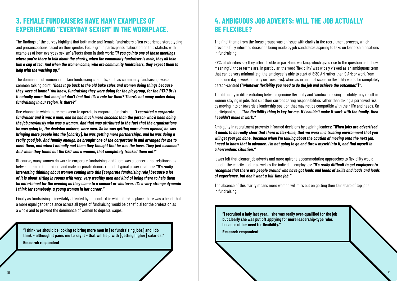

#### **3. FEMALE FUNDRAISERS HAVE MANY EXAMPLES OF EXPERIENCING "EVERYDAY SEXISM" IN THE WORKPLACE.**

The findings of the survey highlight that both male and female fundraisers often experience stereotyping and preconceptions based on their gender. Focus group participants elaborated on this statistic with examples of how 'everyday sexism' affects them in their work: *"If you go into one of those meetings where you're there to talk about the charity, when the community fundraiser is male, they all take him a cup of tea. And when the women come, who are community fundraisers, they expect them to help with the washing up."*

The dominance of women in certain fundraising channels, such as community fundraising, was a common talking point: *"Does it go back to the old bake sales and women doing things because they were at home? You know, fundraising they were doing for the playgroup, for the PTA? Or is it actually more that men just don't feel that it's a role for them? There's not many males doing fundraising in our region, is there?"*

One channel in which more men seem to operate is corporate fundraising: *"I recruited a corporate fundraiser and it was a man, and he had much more success than the person who'd been doing the job previously who was a woman. And that was attributed to the fact that the organisations he was going to, the decision makers, were men. So he was getting more doors opened, he was bringing more people into the [charity], he was getting more partnerships, and he was doing a really good job. And funnily enough, he brought one of the corporates in and arranged for me to meet them, and when I actually met them they thought that he was the boss. They just assumed! And when they found out the CEO was a woman, that completely freaked them out!"*

97% of charities say they offer flexible or part-time working, which gives rise to the question as to how meaningful those terms are. In particular, the word 'flexibility' was widely viewed as an ambiguous term that can be very minimal (e.g. the employee is able to start at 8:30 AM rather than 9 AM; or work from home one day a week but only on Tuesdays), whereas in an ideal scenario flexibility would be completely person-centred *("whatever flexibility you need to do the job and achieve the outcomes")<sup>14</sup>.* 

Of course, many women do work in corporate fundraising, and there was a concern that relationships between female fundraisers and male corporate donors reflects typical power relations: *"It's really interesting thinking about women coming into this [corporate fundraising role] because a lot of it is about sitting in rooms with very, very wealthy men and kind of being there to help them be entertained for the evening as they come to a concert or whatever. It's a very strange dynamic I think for somebody, a young woman in her career."*

Finally as fundraising is inevitably affected by the context in which it takes place, there was a belief that a more equal gender balance across all types of fundraising would be beneficial for the profession as a whole and to prevent the dominance of women to depress wages:

**"I think we should be looking to bring more men in [to fundraising jobs] and I do think – although it pains me to say it – that will help with [getting higher] salaries." Research respondent**

### **4. AMBIGUOUS JOB ADVERTS: WILL THE JOB ACTUALLY BE FLEXIBLE?**

The final theme from the focus groups was an issue with clarity in the recruitment process, which prevents fully informed decisions being made by job candidates aspiring to take on leadership positions in fundraising.

The difficulty in differentiating between genuine flexibility and 'window dressing' flexibility may result in women staying in jobs that suit their current caring responsibilities rather than taking a perceived risk by moving into or towards a leadership position that may not be compatible with their life and needs. On participant said: *"The flexibility thing is key for me. If I couldn't make it work with the family, then I couldn't make it work."*

Ambiguity in recruitment prevents informed decisions by aspiring leaders: *"When jobs are advertised it needs to be really clear that there is flex-time, that we work in a trusting environment that you will get your job done. Because when I'm talking about the caution of moving onto the next job, I need to know that in advance. I'm not going to go and throw myself into it, and find myself in a horrendous situation."*

It was felt that clearer job adverts and more upfront, accommodating approaches to flexibility would benefit the charity sector as well as the individual employees: *"It's really difficult to get employers to recognise that there are people around who have got loads and loads of skills and loads and loads of experience, but don't want a full-time job."*

The absence of this clarity means more women will miss out on getting their fair share of top jobs in fundraising.

**"I recruited a lady last year… she was really over-qualified for the job but clearly she was put off applying for more leadership-type roles because of her need for flexibility."**

**Research respondent**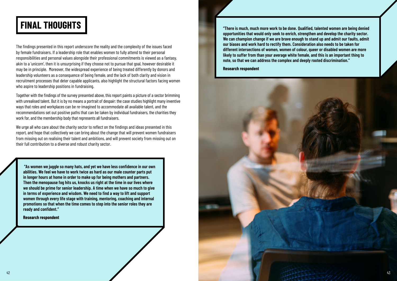

The findings presented in this report underscore the reality and the complexity of the issues faced by female fundraisers. If a leadership role that enables women to fully attend to their personal responsibilities and personal values alongside their professional commitments is viewed as a fantasy, akin to a 'unicorn', then it is unsurprising if they choose not to pursue that goal, however desirable it may be in principle. Moreover, the widespread experience of being treated differently by donors and leadership volunteers as a consequence of being female, and the lack of both clarity and vision in recruitment processes that deter capable applicants, also highlight the structural factors facing women who aspire to leadership positions in fundraising.

Together with the findings of the survey presented above, this report paints a picture of a sector brimming with unrealised talent. But it is by no means a portrait of despair: the case studies highlight many inventive ways that roles and workplaces can be re-imagined to accommodate all available talent, and the recommendations set out positive paths that can be taken by individual fundraisers, the charities they work for, and the membership body that represents all fundraisers.

We urge all who care about the charity sector to reflect on the findings and ideas presented in this report, and hope that collectively we can bring about the change that will prevent women fundraisers from missing out on realising their talent and ambitions, and will prevent society from missing out on their full contribution to a diverse and robust charity sector.

## <span id="page-21-0"></span>**FINAL THOUGHTS**

 **"As women we juggle so many hats, and yet we have less confidence in our own abilities. We feel we have to work twice as hard as our male counter parts put in longer hours at home in order to make up for being mothers and partners. Then the menopause fog hits us, knocks us right at the time in our lives where we should be prime for senior leadership. A time when we have so much to give in terms of experience and wisdom. We need to find a way to lift and support women through every life stage with training, mentoring, coaching and internal promotions so that when the time comes to step into the senior roles they are ready and confident."**

**Research respondent**

**"There is much, much more work to be done. Qualified, talented women are being denied opportunities that would only seek to enrich, strengthen and develop the charity sector. We can champion change if we are brave enough to stand up and admit our faults, admit our biases and work hard to rectify them. Consideration also needs to be taken for different intersections of women, women of colour, queer or disabled women are more likely to suffer from than your average white female, and this is an important thing to note, so that we can address the complex and deeply rooted discrimination."**

**Research respondent**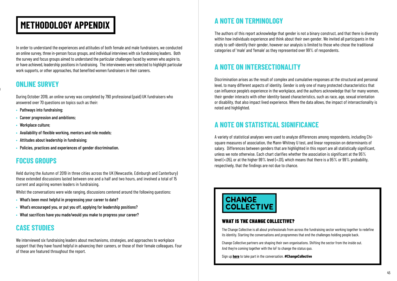## <span id="page-22-0"></span>**METHODOLOGY APPENDIX A NOTE ON TERMINOLOGY**

In order to understand the experiences and attitudes of both female and male fundraisers, we conducted an online survey, three in-person focus groups, and individual interviews with six fundraising leaders. Both the survey and focus groups aimed to understand the particular challenges faced by women who aspire to, or have achieved, leadership positions in fundraising. The interviewees were selected to highlight particular work supports, or other approaches, that benefited women fundraisers in their careers.

#### **ONLINE SURVEY**

During October 2019, an online survey was completed by 790 professional (paid) UK fundraisers who answered over 70 questions on topics such as their:

- **•** Pathways into fundraising;
- **•** Career progression and ambitions;
- **•** Workplace culture;
- **•** Availability of flexible working, mentors and role models;
- **•** Attitudes about leadership in fundraising;
- **•** Policies, practices and experiences of gender discrimination.

#### **FOCUS GROUPS**

Held during the Autumn of 2019 in three cities across the UK (Newcastle, Edinburgh and Canterbury) these extended discussions lasted between one and a half and two hours, and involved a total of 15 current and aspiring women leaders in fundraising.

Whilst the conversations were wide ranging, discussions centered around the following questions:

- **•** What's been most helpful in progressing your career to date?
- **•** What's encouraged you, or put you off, applying for leadership positions?
- **•** What sacrifices have you made/would you make to progress your career?

### **CASE STUDIES**

We interviewed six fundraising leaders about mechanisms, strategies, and approaches to workplace support that they have found helpful in advancing their careers, or those of their female colleagues. Four of these are featured throughout the report.

The authors of this report acknowledge that gender is not a binary construct, and that there is diversity within how individuals experience and think about their own gender. We invited all participants in the study to self-identify their gender, however our analysis is limited to those who chose the traditional categories of 'male' and 'female' as they represented over 99% of respondents.

#### **A NOTE ON INTERSECTIONALITY**

Discrimination arises as the result of complex and cumulative responses at the structural and personal level, to many different aspects of identity. Gender is only one of many protected characteristics that can influence people's experience in the workplace, and the authors acknowledge that for many women, their gender interacts with other identity-based characteristics, such as race, age, sexual orientation or disability, that also impact lived experience. Where the data allows, the impact of intersectionality is noted and highlighted.

#### **A NOTE ON STATISTICAL SIGNIFICANCE**

A variety of statistical analyses were used to analyze differences among respondents, including Chisquare measures of association, the Mann-Whitney U test, and linear regression on determinants of salary. Differences between genders that are highlighted in this report are all statistically significant, unless we note otherwise. Each chart clarifies whether the association is significant at the 95% level (<.05), or at the higher 99% level (<.01), which means that there is a 95% or 99% probability, respectively, that the findings are not due to chance.



#### WHAT IS THE CHANGE COLLECTIVE?

The Change Collective is all about professionals from across the fundraising sector working together to redefine its identity. Starting the conversations and programmes that end the challenges holding people back.

Change Collective partners are shaping their own organisations. Shifting the sector from the inside out. And they're coming together with the IoF to change the status quo.

Sign up **[here](http://bit.ly/ChangeCollective)** to take part in the conversation. **#ChangeCollective**